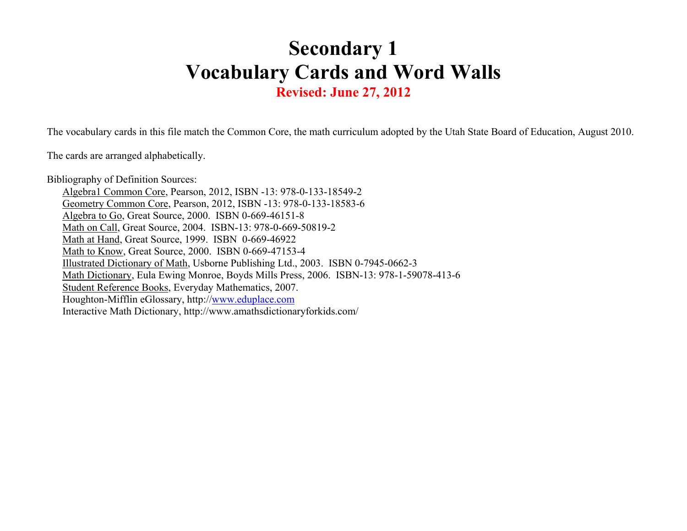#### **Secondary 1 Vocabulary Cards and Word Walls Revised: June 27, 2012**

The vocabulary cards in this file match the Common Core, the math curriculum adopted by the Utah State Board of Education, August 2010.

The cards are arranged alphabetically.

Bibliography of Definition Sources: Algebra1 Common Core, Pearson, 2012, ISBN -13: 978-0-133-18549-2 Geometry Common Core, Pearson, 2012, ISBN -13: 978-0-133-18583-6 Algebra to Go, Great Source, 2000. ISBN 0-669-46151-8 Math on Call, Great Source, 2004. ISBN-13: 978-0-669-50819-2 Math at Hand, Great Source, 1999. ISBN 0-669-46922 Math to Know, Great Source, 2000. ISBN 0-669-47153-4 Illustrated Dictionary of Math, Usborne Publishing Ltd., 2003. ISBN 0-7945-0662-3 Math Dictionary, Eula Ewing Monroe, Boyds Mills Press, 2006. ISBN-13: 978-1-59078-413-6 Student Reference Books, Everyday Mathematics, 2007. Houghton-Mifflin eGlossary, http://www.eduplace.com Interactive Math Dictionary, http://www.amathsdictionaryforkids.com/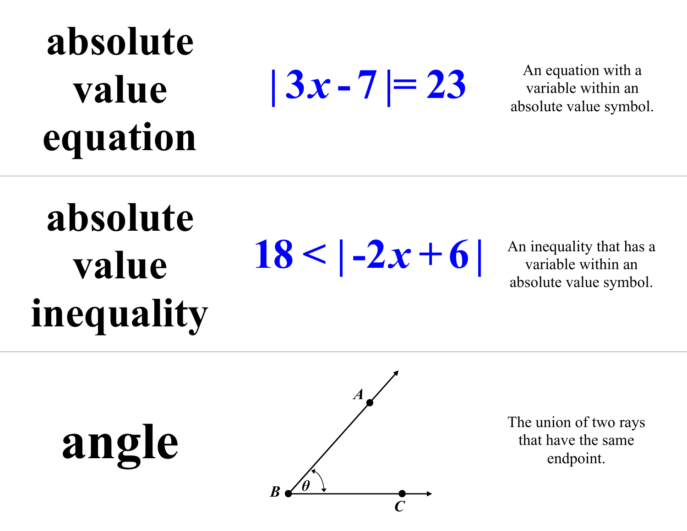### **absolute value equation**

**|**  $\mathbf{3} \times \mathbf{7}$  **|= 23 An equation with a variable within an absolute value symbol.** 

### **absolute value inequality**

**<sup>18</sup> <sup>&</sup>lt; | -2 <sup>+</sup> <sup>6</sup> |** *<sup>x</sup>* An inequality that has a variable within an absolute value symbol.

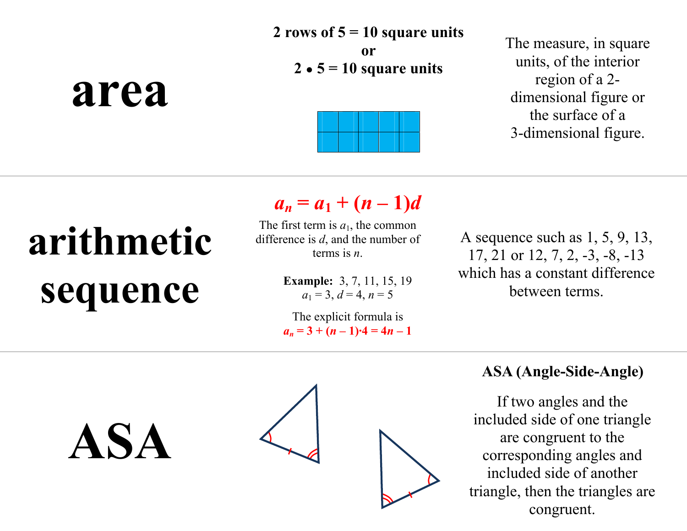#### **2 rows of 5 = 10 square units**

**or 2**  $\bullet$  5 = 10 square units



The measure, in square units, of the interior region of a 2 dimensional figure or the surface of a 3-dimensional figure.

#### **arithmetic sequence**

**area** 

#### $a_n = a_1 + (n-1)d$

The first term is  $a_1$ , the common difference is *d*, and the number of terms is *<sup>n</sup>*.

> **Example:** 3, 7, 11, 15, 19  $a_1 = 3$ ,  $d = 4$ ,  $n = 5$

The explicit formula is  $a_n = 3 + (n-1) \cdot 4 = 4n - 1$ 

A sequence such as 1, 5, 9, 13, 17, 21 or 12, 7, 2, -3, -8, -13 which has a constant difference between terms.

**ASA** 



#### **ASA (Angle-Side-Angle)**

If two angles and the included side of one triangle are congruent to the corresponding angles and included side of another triangle, then the triangles are congruent.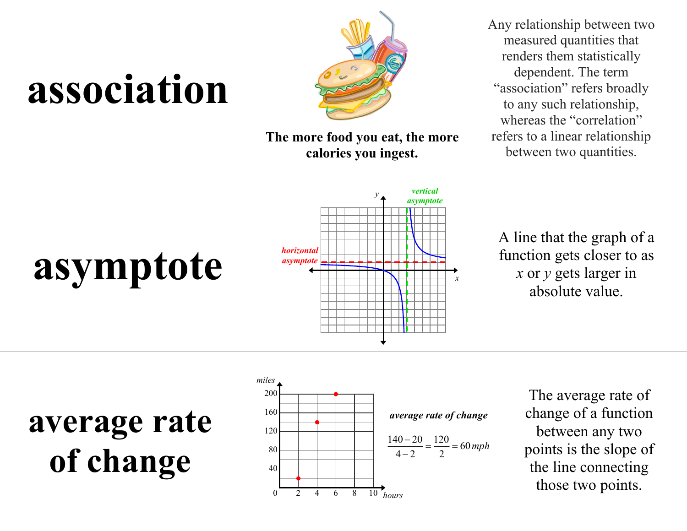### **association**



**The more food you eat, the more calories you ingest.** 

Any relationship between two measured quantities that renders them statistically dependent. The term "association" refers broadly to any such relationship, whereas the "correlation" refers to a linear relationship between two quantities.



### **average rate of change**



The average rate of change of a function between any two points is the slope of the line connecting those two points.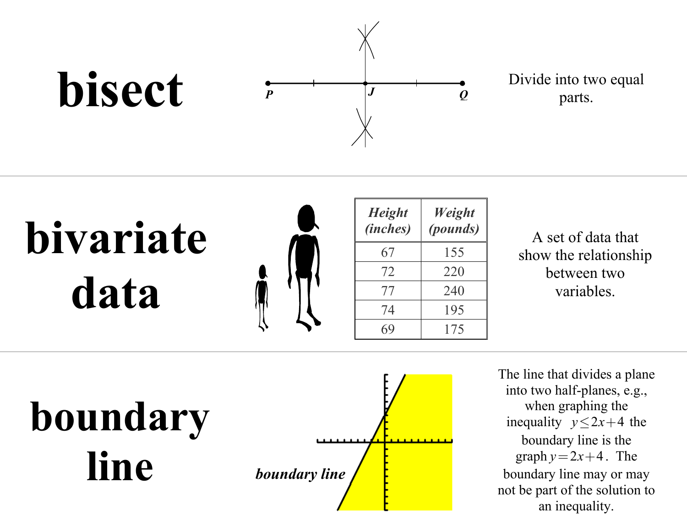



**boundary line**



The line that divides a plane into two half-planes, e.g., when graphing the inequality  $y \le 2x+4$  the boundary line is the graph  $y = 2x + 4$ . The boundary line may or may not be part of the solution to an inequality.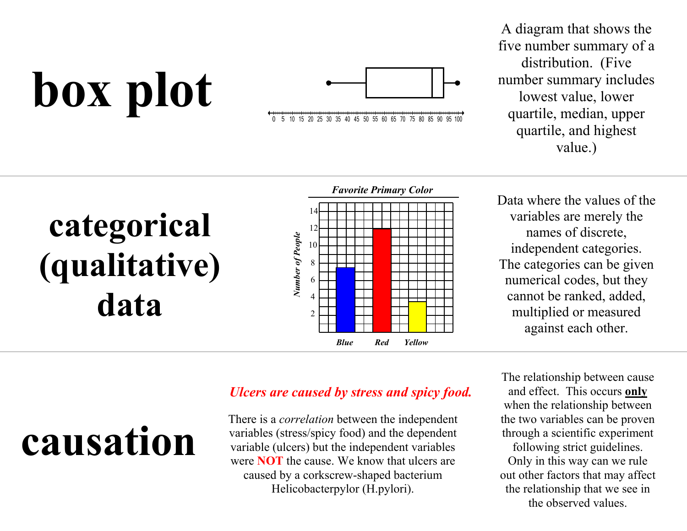# **box plot**



0 5 10 15 20 25 30 35 40 45 50 55 60 65 70 75 80 85 90 95 100

A diagram that shows the five number summary of a distribution. (Five number summary includes lowest value, lower quartile, median, upper quartile, and highest value.)

#### **categorical (qualitative) data**



Data where the values of the variables are merely the names of discrete, independent categories. The categories can be given numerical codes, but they cannot be ranked, added, multiplied or measured against each other.

### **causation**

#### *Ulcers are caused by stress and spicy food.*

There is a *correlation* between the independent variables (stress/spicy food) and the dependent variable (ulcers) but the independent variables were **NOT** the cause. We know that ulcers are caused by a corkscrew-shaped bacterium Helicobacterpylor (H.pylori).

The relationship between cause and effect. This occurs **only** when the relationship between the two variables can be proven through a scientific experiment following strict guidelines. Only in this way can we rule out other factors that may affect the relationship that we see in the observed values.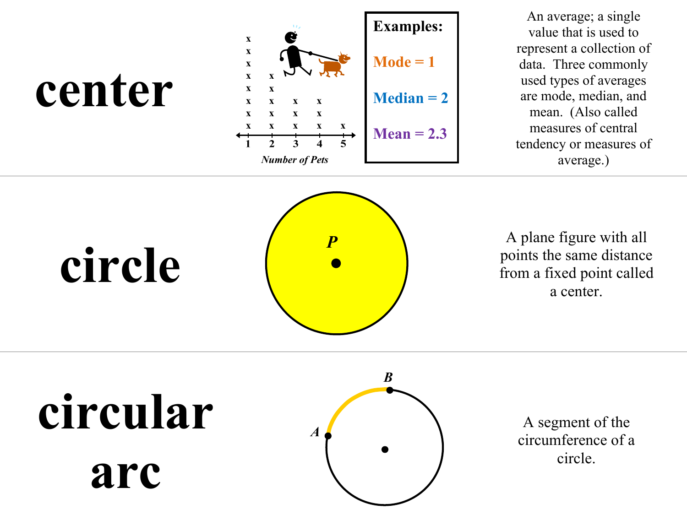

**circular arc** 



A segment of the circumference of a circle.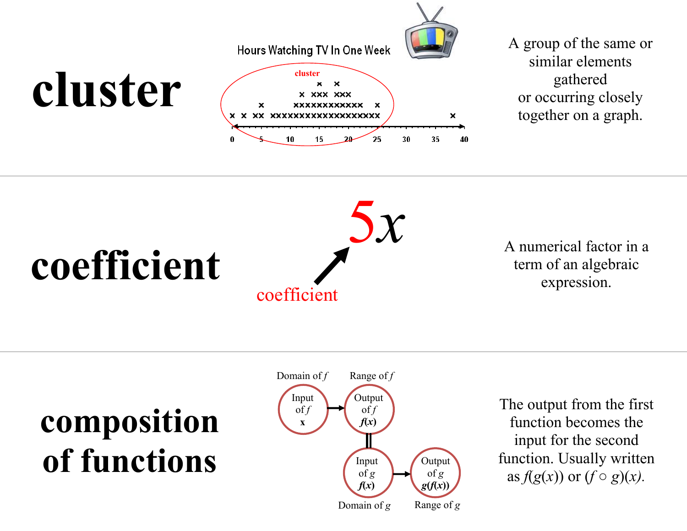

A group of the same or similar elements gathered or occurring closely together on a graph.



#### **composition of functions**



The output from the first function becomes the input for the second function. Usually written as  $f(g(x))$  or  $(f \circ g)(x)$ .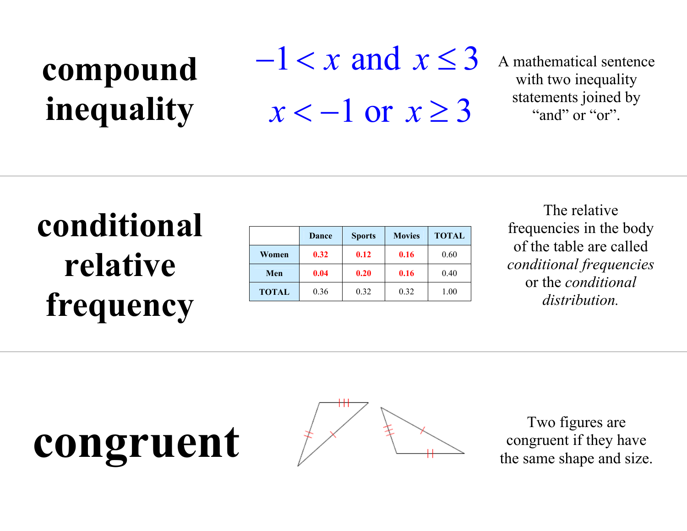#### **compound inequality**

 $-1 < x$  and  $x \leq 3$  $x < -1$  or  $x \ge 3$  $-1 < x$  and  $x \le$ 

A mathematical sentence with two inequality statements joined by "and" or "or".

#### **conditional relative frequency**

|              | Dance | <b>Sports</b> | <b>Movies</b> | <b>TOTAL</b> |
|--------------|-------|---------------|---------------|--------------|
| Women        | 0.32  | 0.12          | 0.16          | 0.60         |
| Men          | 0.04  | 0.20          | 0.16          | 0.40         |
| <b>TOTAL</b> | 0.36  | 0.32          | 0.32          | 1.00         |

The relative frequencies in the body of the table are called *conditional frequencies* or the *conditional distribution.* 

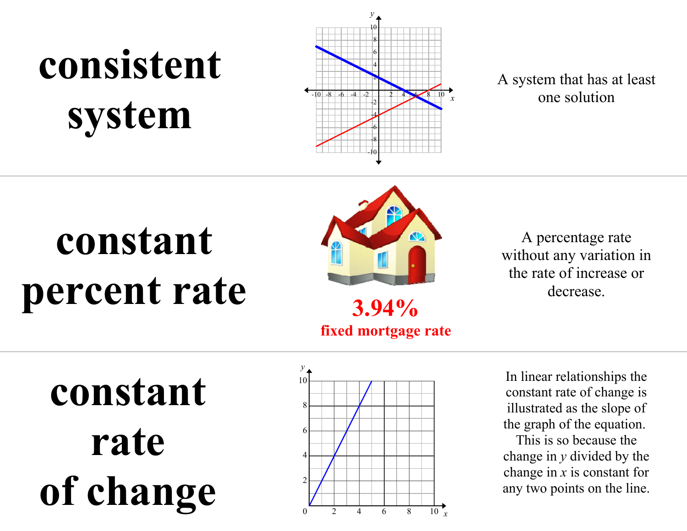## **consistent system**



A system that has at least one solution

### **constant percent rate**



**3.94% fixed mortgage rate** 

A percentage rate without any variation in the rate of increase or decrease.

**constant rate of change** 



In linear relationships the constant rate of change is illustrated as the slope of the graph of the equation.

This is so because the change in *y* divided by the change in *x* is constant for any two points on the line.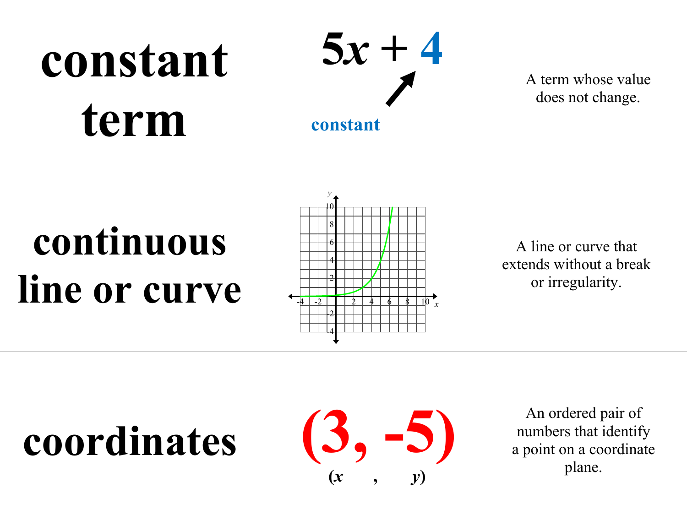# **constant term**



A term whose value does not change.

### **continuous line or curve**



**constant** 

A line or curve that extends without a break or irregularity.

## **coordinates (3, -5)**



An ordered pair of numbers that identify a point on a coordinate plane.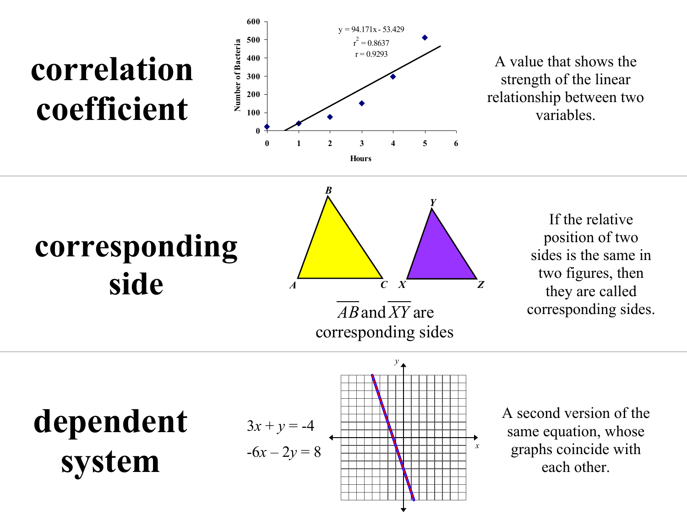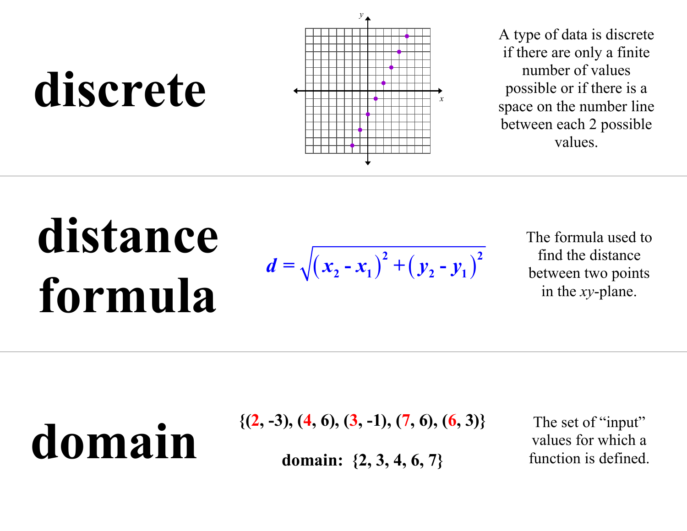

A type of data is discrete if there are only a finite number of values possible or if there is a space on the number line between each 2 possible values.

# **distance formula**

The formula used to find the distance between two points in the *xy*-plane.

# **domain:** {(2, -3), (4, 6), (3, -1), (7, 6), (6, 3)} The set of "input" values for which a domain: {2, 3, 4, 6, 7} function is defined.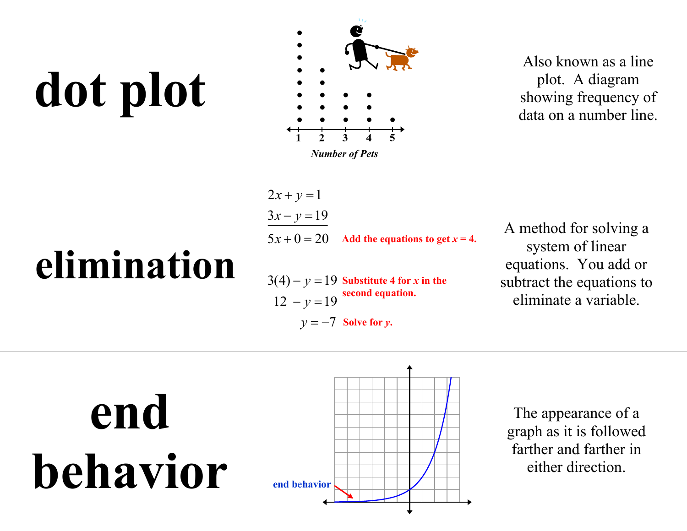# **dot plot**



Also known as a line plot. A diagram showing frequency of data on a number line.

### **elimination**

 $2x + y = 1$  $3x - y = 19$  $5x + 0 = 20$ Add the equations to get  $x = 4$ .

$$
3(4) - y = 19
$$
 Substitute 4 for x in the  
second equation.  

$$
12 - y = 19
$$

A method for solving a system of linear equations. You add or subtract the equations to eliminate a variable.

**end behavior** 



The appearance of a graph as it is followed farther and farther in either direction.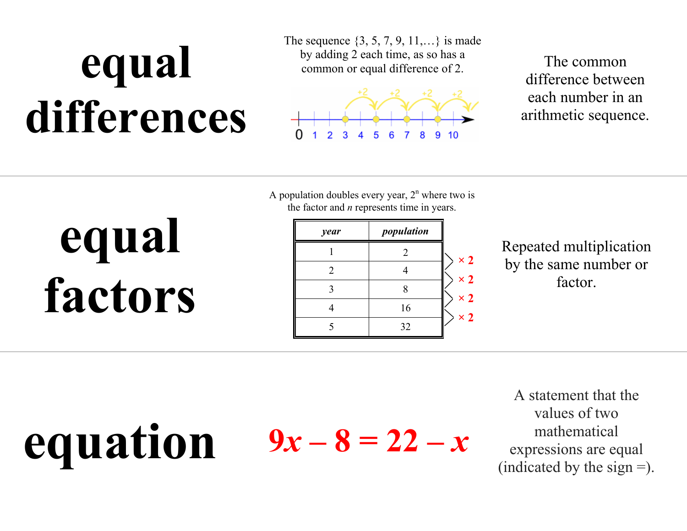## **equal differences**

The sequence {3, 5, 7, 9, 11,…} is made by adding 2 each time, as so has a by adding 2 each time, as so has a<br>common or equal difference of 2.<br>difference between



each number in an arithmetic sequence.

A population doubles every year,  $2<sup>n</sup>$  where two is the factor and *n* represents time in years.

| year | population |                      |
|------|------------|----------------------|
|      |            | $\times 2$           |
|      |            | $\frac{1}{\times 2}$ |
|      |            | $\times 2$           |
|      | 16         | $\times 2$           |
|      | 32         |                      |

Repeated multiplication by the same number or factor.

equation  $9x-8=22-x$ 

**equal** 

**factors** 

A statement that the values of two mathematical expressions are equal  $(indicated by the sign =).$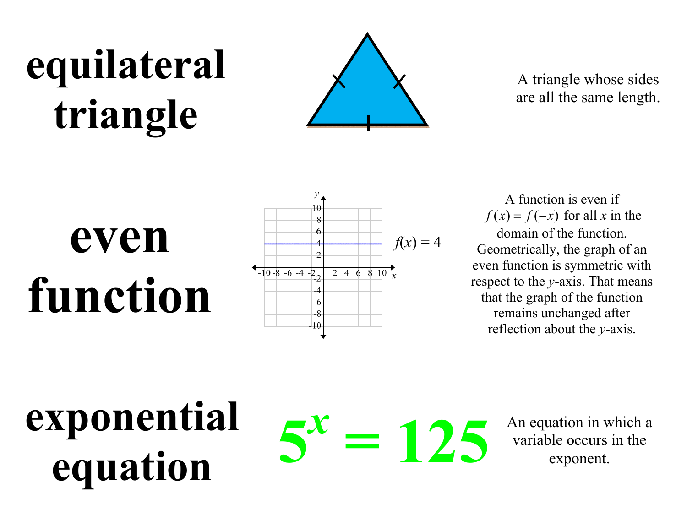## **equilateral triangle**



#### A triangle whose sides are all the same length.



A function is even if  $f(x) = f(-x)$  for all *x* in the domain of the function. Geometrically, the graph of an even function is symmetric with respect to the *y*-axis. That means that the graph of the function remains unchanged after reflection about the *y*-axis.

## **exponential equation**  $5^x = 125$  An equation in which a **equation f i equation i** the exponent.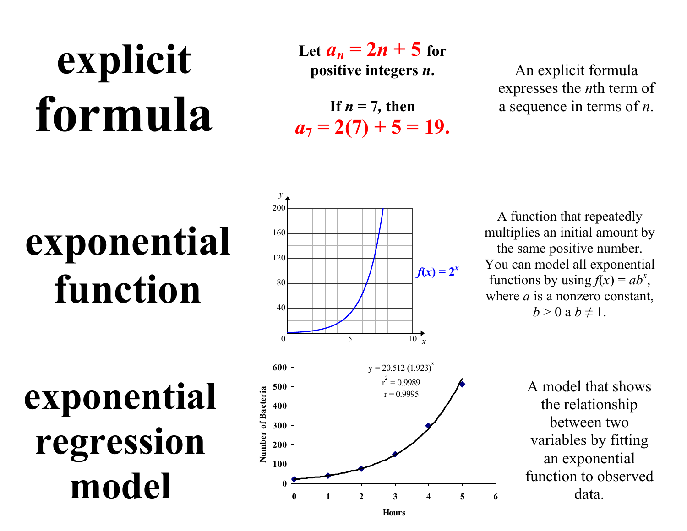## **explicit formula**

Let  $a_n = 2n + 5$  for **positive integers** *<sup>n</sup>***.**

If  $n = 7$ , then  $a_7 = 2(7) + 5 = 19.$ 

An explicit formula expresses the *n*th term of a sequence in terms of *<sup>n</sup>*.

### **exponential function**



A function that repeatedly multiplies an initial amount by the same positive number. You can model all exponential functions by using  $f(x) = ab^x$ , where *a* is a nonzero constant,  $b > 0$  a  $b \neq 1$ .

**exponential regression model**



A model that shows the relationship between two variables by fitting an exponential function to observed data.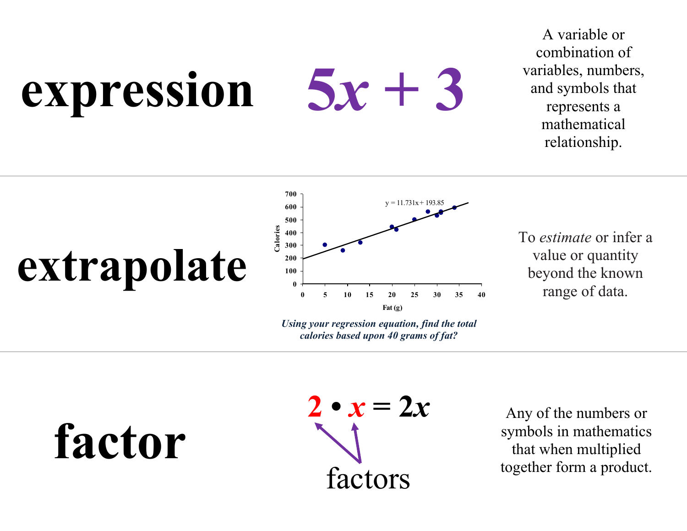# **expression 5***<sup>x</sup>* **+ 3**

A variable or combination of variables, numbers, and symbols that represents a mathematical relationship.



*Using your regression equation, find the total calories based upon 40 grams of fat?*

To *estimate* or infer a value or quantity beyond the known range of data.

**factor** 

**2** •  $x = 2x$ factors

Any of the numbers or symbols in mathematics that when multiplied together form a product.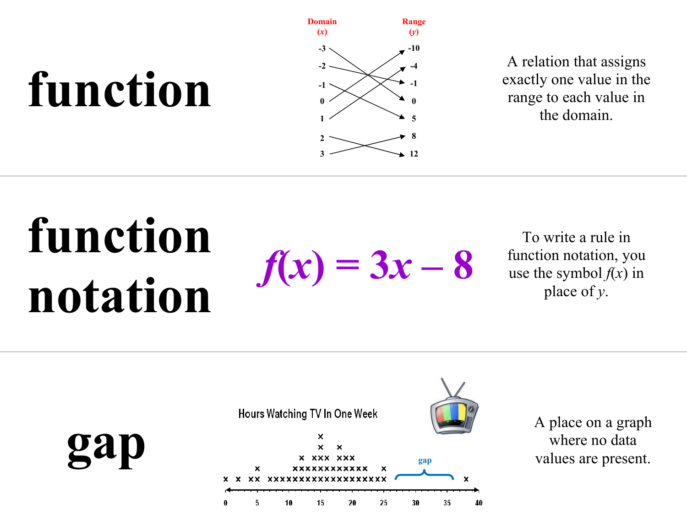# **function**

**gap**



A relation that assigns exactly one value in the range to each value in the domain.

## **function**   $f(x) = 3x - 8$ <br>**notation**

To write a rule in function notation, you use the symbol  $f(x)$  in place of *y*.



A place on a graph where no data **gap** values are present.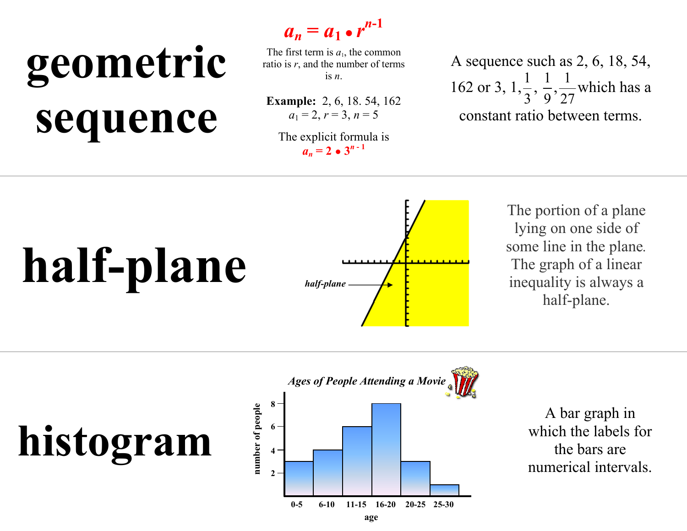## **geometric sequence**

 $a_n = a_1 \bullet r$ *n***-1** 

The first term is  $a_1$ , the common ratio is *<sup>r</sup>*, and the number of terms is *<sup>n</sup>*.

**Example:** 2, 6, 18. 54, 162  $a_1 = 2, r = 3, n = 5$ 

The explicit formula is  $a_n = 2 \cdot 3^{n-1}$ 

A sequence such as 2, 6, 18, 54, 162 or 3,  $1, \frac{1}{3}, \frac{1}{9}, \frac{1}{27}$  which has a constant ratio between terms.

## **half-plane**



The portion of a plane lying on one side of some line in the plane*.* The graph of a linear inequality is always a half-plane.





A bar graph in which the labels for the bars are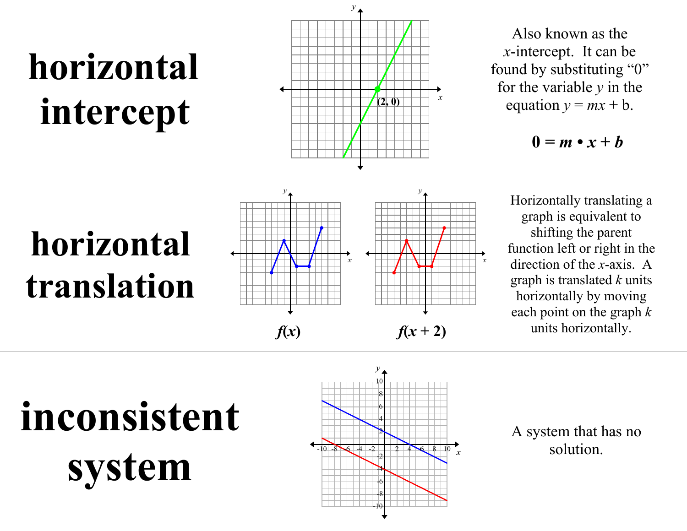### **horizontal intercept**



Also known as the *<sup>x</sup>*-intercept. It can be found by substituting "0" for the variable *y* in the equation  $y = mx + b$ .

 $0 = m \cdot x + b$ 

#### **horizontal translation**



Horizontally translating a graph is equivalent to shifting the parent function left or right in the direction of the *x*-axis. A graph is translated *k* units horizontally by moving each point on the graph *k* units horizontally.

**inconsistent system** 



A system that has no solution.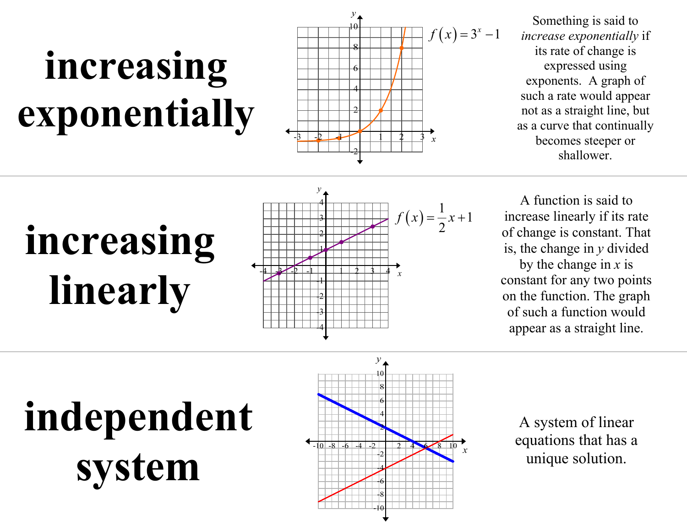## **increasing exponentially**



 $5$  Something is said to  $f(x) = 3^x - 1$  *increase exponentially* if its rate of change is expressed using exponents. A graph of such a rate would appear not as a straight line, but as a curve that continually becomes steeper or shallower.

# **increasing linearly**



*f*  $f(x) = \frac{1}{2}x + 1$  increase linearly if its rate of change is constant. That is, the change in *y* divided by the change in *x* is constant for any two points on the function. The graph of such a function would appear as a straight line.

**independent system**



A system of linear equations that has a unique solution.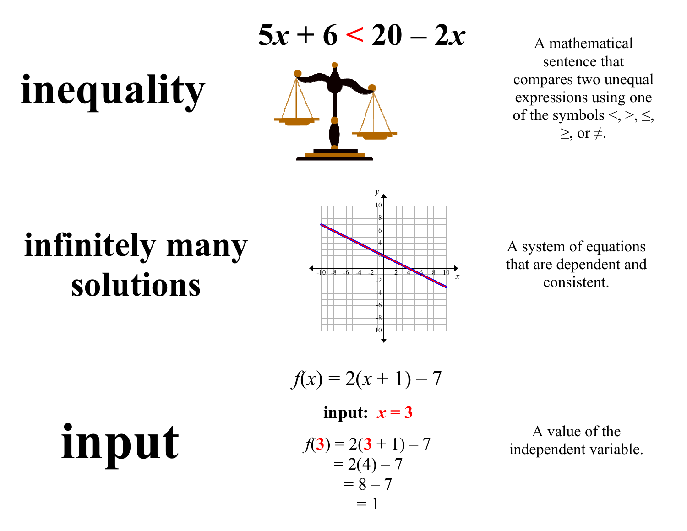## **inequality**

 $5x + 6 < 20 - 2x$  A mathematical



sentence that compares two unequal expressions using one of the symbols  $\leq, \geq, \leq,$  $\geq$ , or  $\neq$ .

#### **infinitely many solutions**



A system of equations that are dependent and consistent.

**input** 

$$
f(x) = 2(x+1) - 7
$$

#### **input:**  $x = 3$

$$
f(3) = 2(3 + 1) - 7
$$
  
= 2(4) - 7  
= 8 - 7  
= 1

A value of the independent variable.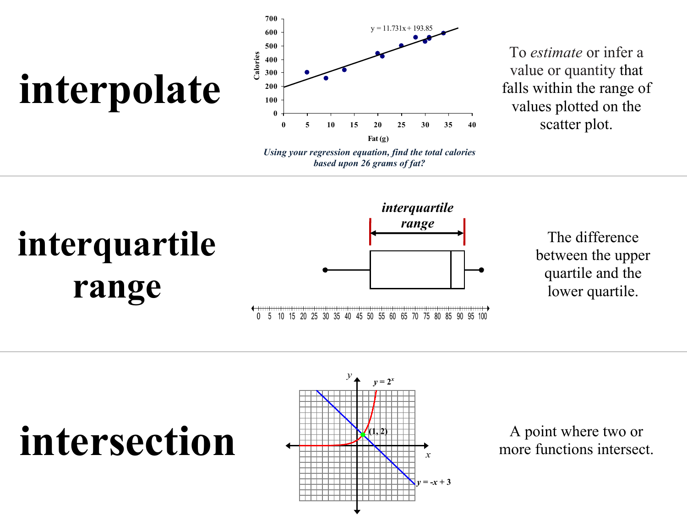

*Using your regression equation, find the total calories based upon 26 grams of fat?* 

To *estimate* or infer a value or quantity that falls within the range of values plotted on the scatter plot.

#### *interquartile range* The difference **interquartile**  between the upper quartile and the **range** lower quartile. 10 15 20 25 30 35 40 45 50 55 60 65 70 75 80 85 90 95 100  $0<sub>5</sub>$

## intersection  $\leftarrow$  A point where two or<br>more functions intersect.

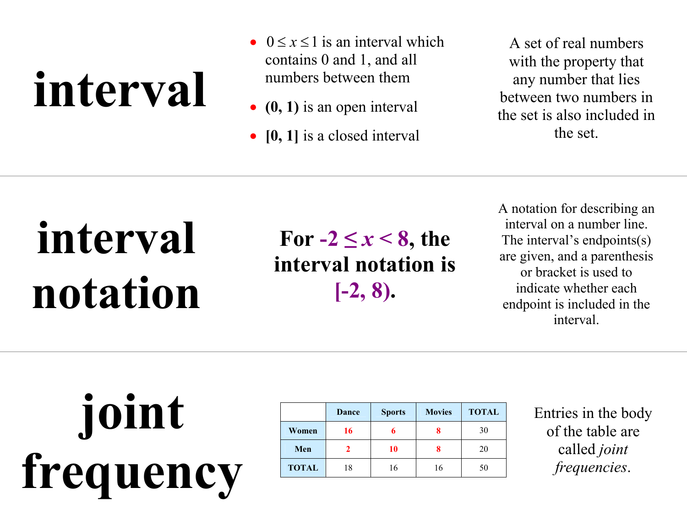# **interval**

- $\bullet$   $0 \le x \le 1$  is an interval which contains 0 and 1, and all numbers between them
- **(0, 1)** is an open interval
- **[0, 1]** is a closed interval

A set of real numbers with the property that any number that lies between two numbers in the set is also included in the set.

## **interval notation**

For  $-2 \leq x \leq 8$ , the **interval notation is [-2, 8).**

A notation for describing an interval on a number line. The interval's endpoints(s) are given, and a parenthesis or bracket is used to indicate whether each endpoint is included in the interval.



|              | Dance | <b>Sports</b> | <b>Movies</b> | <b>TOTAL</b> |
|--------------|-------|---------------|---------------|--------------|
| Women        | 16    |               |               | 30           |
| Men          |       | 10            |               | 20           |
| <b>TOTAL</b> | 18    | 16            | 16            | 50           |

Entries in the body of the table are called *joint frequencies*.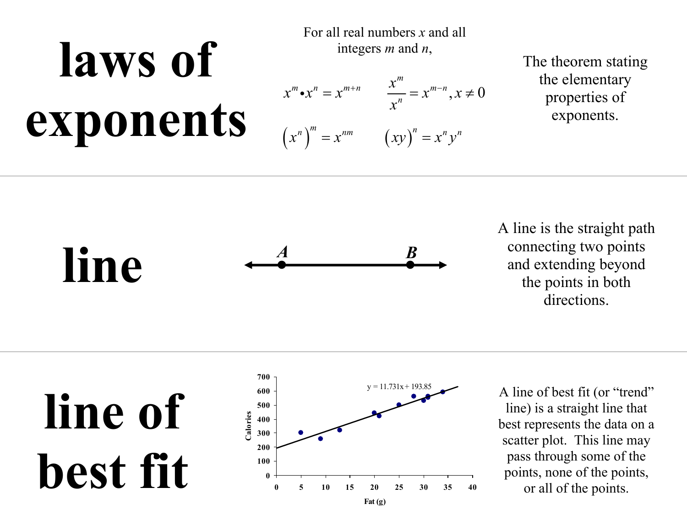# **laws of exponents**

For all real numbers *x* and all integers *m* and *<sup>n</sup>*,

 $m \sim m^{-m}$ 

 $\frac{x}{x^n} = x^{m-n}, x$  $=x^{m-n}, x \neq$ 

*n*

$$
x^m \bullet x^n = x^{m+n} \qquad \frac{x^m}{x^n} = x^{m-n}, x \neq 0
$$

$$
(x^n)^m = x^{nm} \qquad (xy)^n = x^n y^n
$$

The theorem stating the elementary properties of exponents.



A line is the straight path connecting two points and extending beyond the points in both directions.

# line of **best fit**



A line of best fit (or "trend" line) is a straight line that best represents the data on a scatter plot. This line may pass through some of the points, none of the points, or all of the points.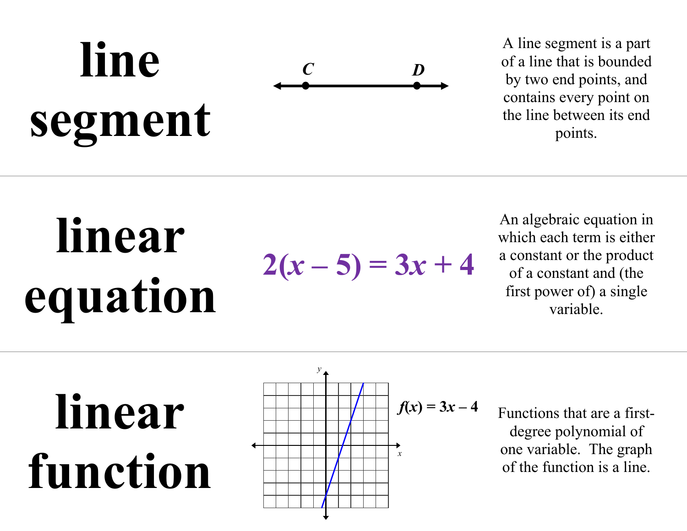# **line segment**

 $\bm{C}$  **D** 

A line segment is a part of a line that is bounded by two end points, and contains every point on the line between its end points.

# **linear equation**  $2(x-5) = 3x + 4$

An algebraic equation in which each term is either a constant or the product of a constant and (the first power of) a single variable.

## **linear function**



Functions that are a firstdegree polynomial of one variable. The graph of the function is a line.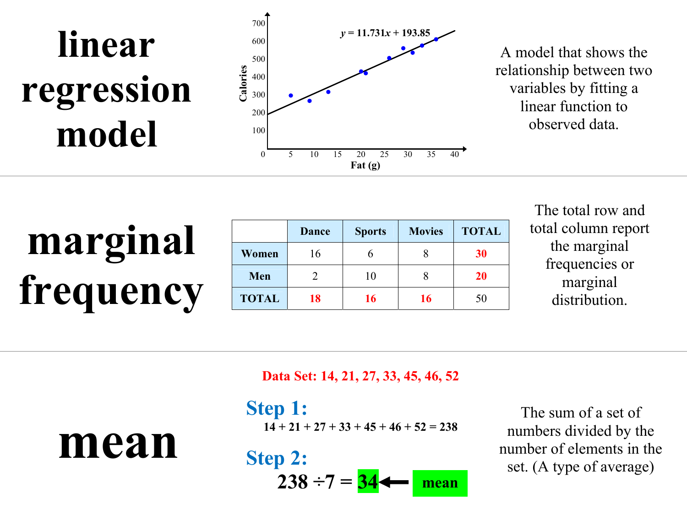### **linear regression model**



A model that shows the relationship between two variables by fitting a linear function to observed data.

**marginal frequency**

|              | <b>Dance</b> | <b>Sports</b> | <b>Movies</b> | <b>TOTAL</b> |
|--------------|--------------|---------------|---------------|--------------|
| Women        | 16           |               |               | 30           |
| Men          |              | 10            |               | <b>20</b>    |
| <b>TOTAL</b> | 18           | 16            | 16            | 50           |

The total row and total column report the marginal frequencies or marginal distribution.

**Data Set: 14, 21, 27, 33, 45, 46, 52** 

**mean**

**Step 1:**   $14 + 21 + 27 + 33 + 45 + 46 + 52 = 238$ 

**Step 2:**   $238 \div 7 = 34$ **mean** 

The sum of a set of numbers divided by the number of elements in the set. (A type of average)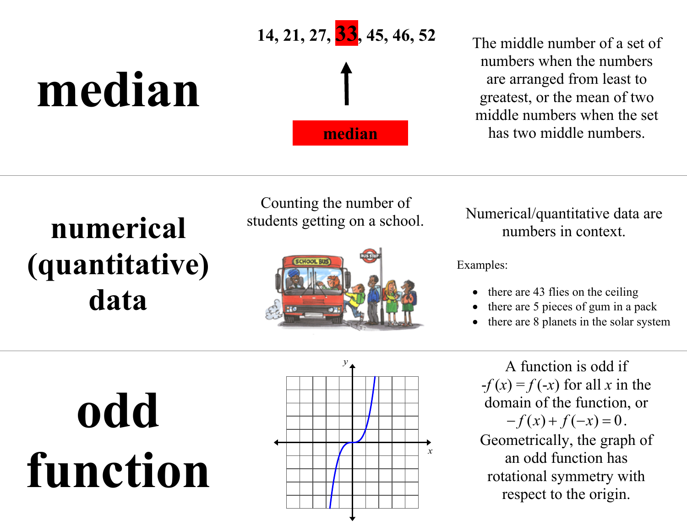# **median**

**14, 21, 27, 33, 45, 46, 52** The middle number of a set of

**median**

numbers when the numbers are arranged from least to greatest, or the mean of two middle numbers when the set has two middle numbers.

#### **numerical (quantitative) data**

Counting the number of



students getting on a school.<br>
Numerical/quantitative data are<br>
numbers in context.

Examples:

- 0 there are 43 flies on the ceiling
- 0 there are 5 pieces of gum in a pack
- 0 there are 8 planets in the solar system

A function is odd if  $-f(x) = f(-x)$  for all *x* in the domain of the function, or  $-f(x) + f(-x) = 0$ . Geometrically, the graph of an odd function has rotational symmetry with respect to the origin.

# **odd function**

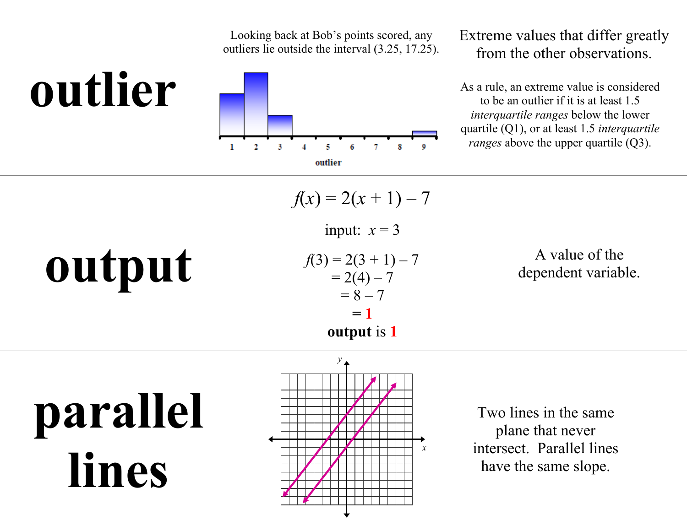Looking back at Bob's points scored, any outliers lie outside the interval (3.25, 17.25). Extreme values that differ greatly from the other observations.

As a rule, an extreme value is considered to be an outlier if it is at least 1.5 *interquartile ranges* below the lower quartile (Q1), or at least 1.5 *interquartile ranges* above the upper quartile (Q3).

**output** 

input: 
$$
x = 3
$$
  
\n $f(3) = 2(3 + 1) - 7$   
\n $= 2(4) - 7$   
\n $= 8 - 7$   
\n $= 1$   
\noutput is 1

 $f(x) = 2(x + 1) - 7$ 

A value of the dependent variable.

# **parallel lines**



Two lines in the same plane that never intersect. Parallel lines have the same slope.



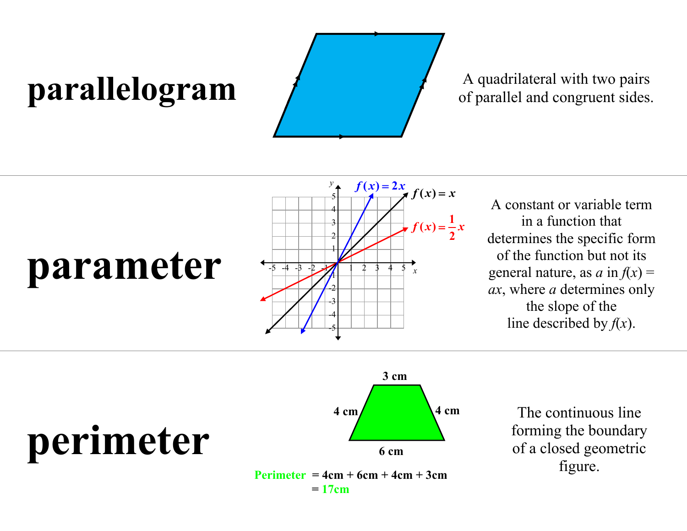#### **parallelogram A**  $\alpha$  quadrilateral with two pairs of parallel and congruent sides.



### **parameter**



A constant or variable term in a function that determines the specific form of the function but not its general nature, as  $a$  in  $f(x)$  = *ax*, where *a* determines only the slope of the line described by  $f(x)$ .

**perimeter** 



The continuous line forming the boundary of a closed geometric figure.

#### **Perimeter = 4cm + 6cm + 4cm + 3cm**   $= 17cm$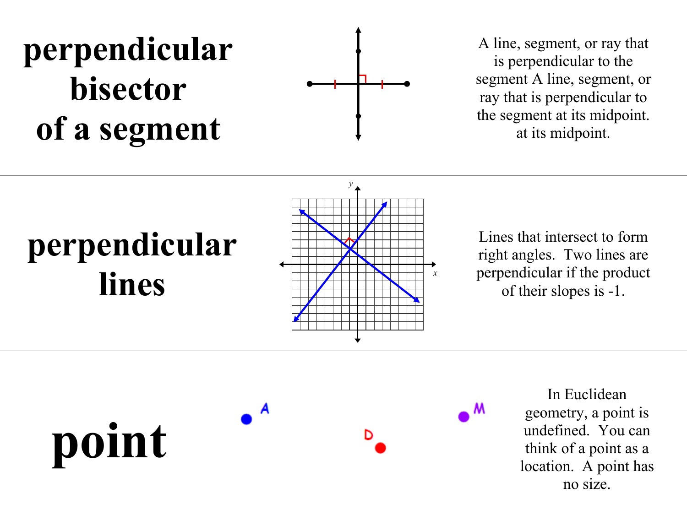#### **perpendicular bisector of a segment**



A line, segment, or ray that is perpendicular to the segment A line, segment, or ray that is perpendicular to the segment at its midpoint. at its midpoint.

#### **perpendicular lines**



Lines that intersect to form right angles. Two lines are perpendicular if the product of their slopes is -1.

 $\bullet$ <sup>A</sup> **point** 

In Euclidean geometry, a point is undefined. You can think of a point as a location. A point has no size.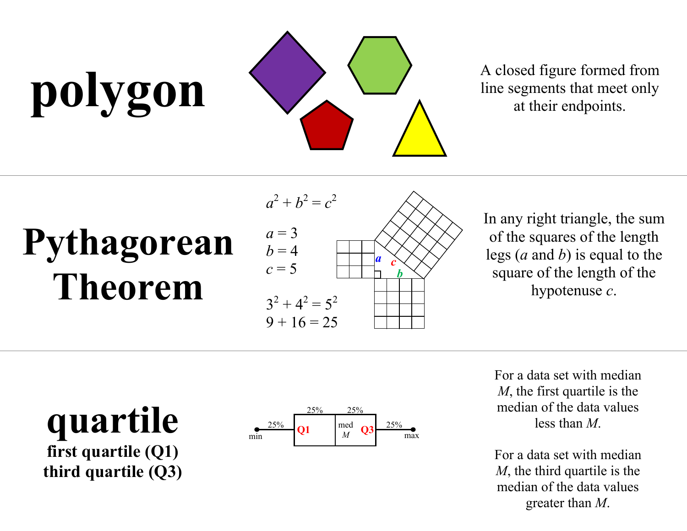



### **Pythagorean Theorem**



In any right triangle, the sum of the squares of the length legs (*a* and *b*) is equal to the square of the length of the hypotenuse *<sup>c</sup>*.

**quartile first quartile (Q1) third quartile (Q3)**



For a data set with median *M*, the first quartile is the median of the data values less than *M*.

For a data set with median *M*, the third quartile is the median of the data values greater than *M*.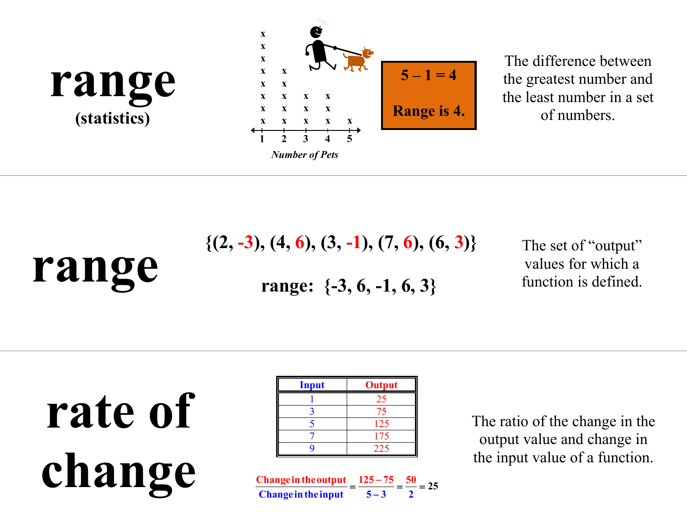

The difference between the greatest number and the least number in a set of numbers.

$$
\textbf{range: } \{2, -3\}, (4, 6), (3, -1), (7, 6), (6, 3)\}
$$
\n
$$
\textbf{range: } \{-3, 6, -1, 6, 3\}
$$

The set of "output" values for which a function is defined.

**rate of c**<br>**c c**<br>**change in the output**  $=$   $\frac{125-75}{5-3} = \frac{50}{2} = 25$ 

| <b>Input</b> | <b>Output</b> |
|--------------|---------------|
|              | 25            |
|              | 75            |
|              | 125           |
|              | 175           |
|              | 225           |

The ratio of the change in the output value and change in the input value of a function.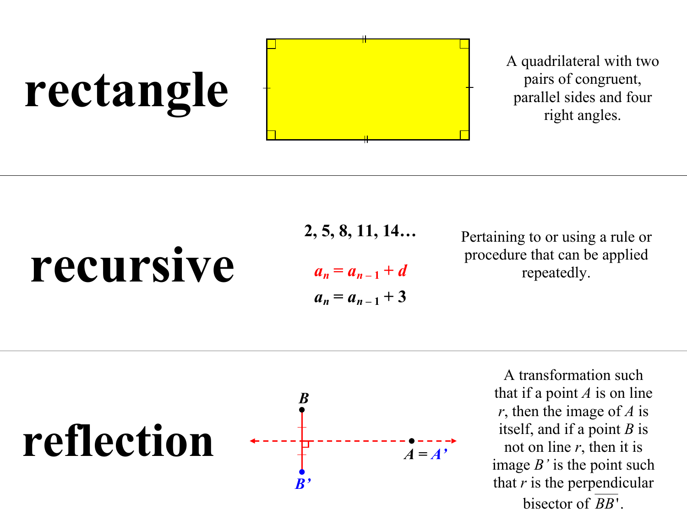

A quadrilateral with two pairs of congruent, parallel sides and four right angles.

**recursive** 

**2, 5, 8, 11, 14…** 

 $a_n = a_{n-1} + d$  $a_n = a_{n-1} + 3$  Pertaining to or using a rule or procedure that can be applied repeatedly.



A transformation such that if a point *A* is on line *<sup>r</sup>*, then the image of *A* is itself, and if a point *B* is not on line  $r$ , then it is image *B'* is the point such that  $r$  is the perpendicular bisector of *BB*'.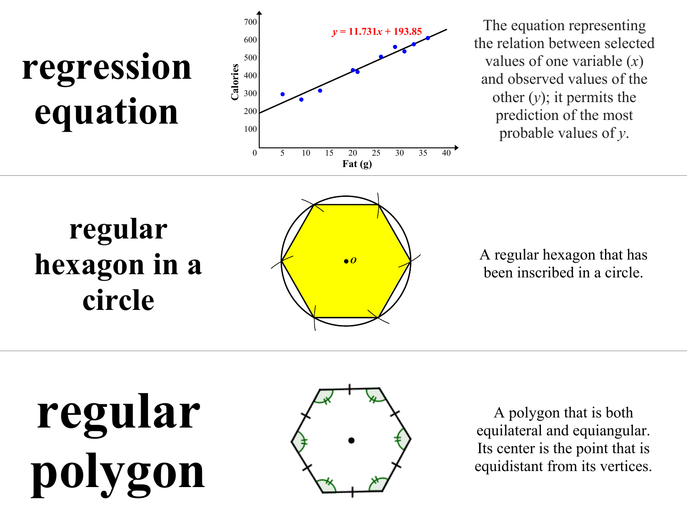## **regression equation**



The equation representing the relation between selected values of one variable (*x*) and observed values of the other (*y*); it permits the prediction of the most probable values of *y*.

**regular hexagon in a circle** 



A regular hexagon that has been inscribed in a circle.

**regular polygon** 



A polygon that is both equilateral and equiangular. Its center is the point that is equidistant from its vertices.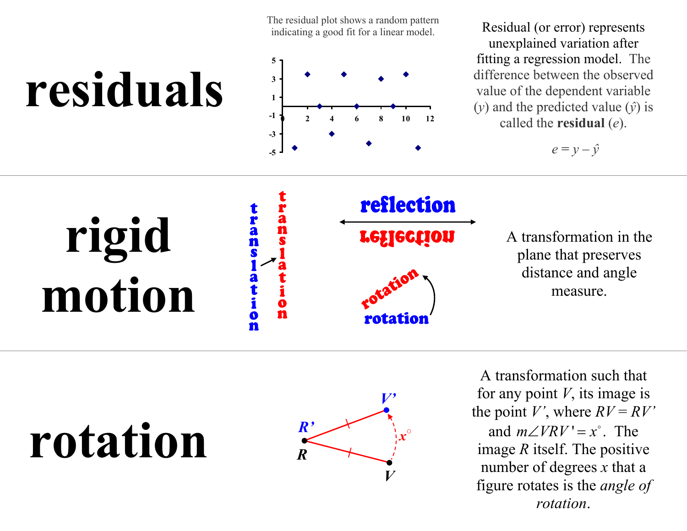The residual plot shows a random pattern





indicating a good fit for a linear model. Residual (or error) represents unexplained variation after fitting a regression model. The difference between the observed value of the dependent variable (*y*) and the predicted value (*ŷ*) is called the **residual** (*e*).

 $e = \nu - \hat{\nu}$ 

reflection r<br>an **trans rigid**  reflection A transformation in the plane that preserves **motion**  distance and angle ation measure. rotatio

## **rotation**



A transformation such that for any point *V*, its image is the point *V*', where  $RV = RV$ and  $m \angle VRV' = x^{\circ}$ . The image *R* itself. The positive number of degrees *x* that a figure rotates is the *angle of rotation*.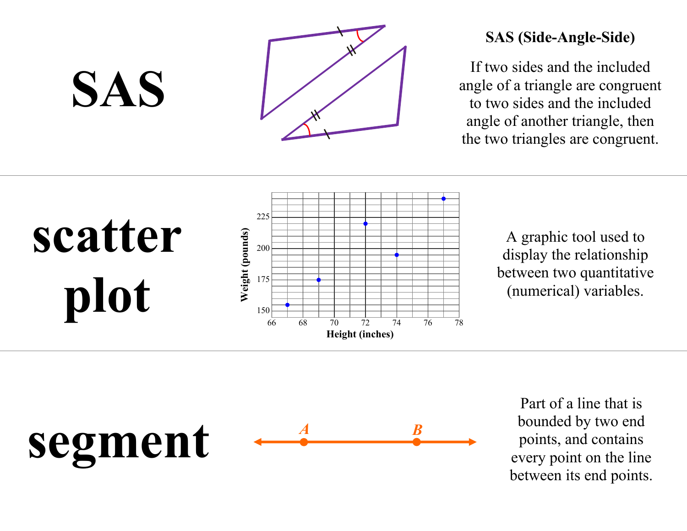

#### **SAS (Side-Angle-Side)**

If two sides and the included angle of a triangle are congruent to two sides and the included angle of another triangle, then the two triangles are congruent.



A graphic tool used to display the relationship between two quantitative (numerical) variables.



**SAS** 

Part of a line that is bounded by two end points, and contains every point on the line between its end points.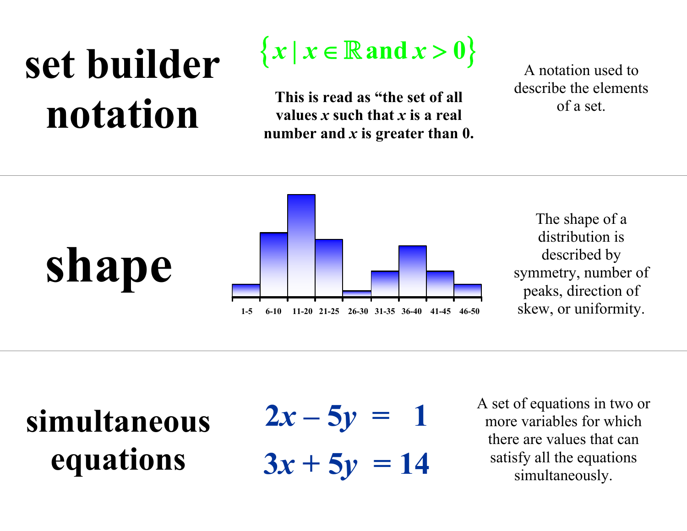### **set builder notation**

 $\{x \mid x \in \mathbb{R} \text{ and } x > 0\}$ 

**This is read as "the set of all values** *x* **such that** *x* **is a real number and** *x* **is greater than 0.**

A notation used to describe the elements of a set.



**simultaneous equations**

 $2x - 5y = 1$ 

**3***<sup>x</sup>* **+ 5***y* **= 14**

A set of equations in two or more variables for which there are values that can satisfy all the equations simultaneously.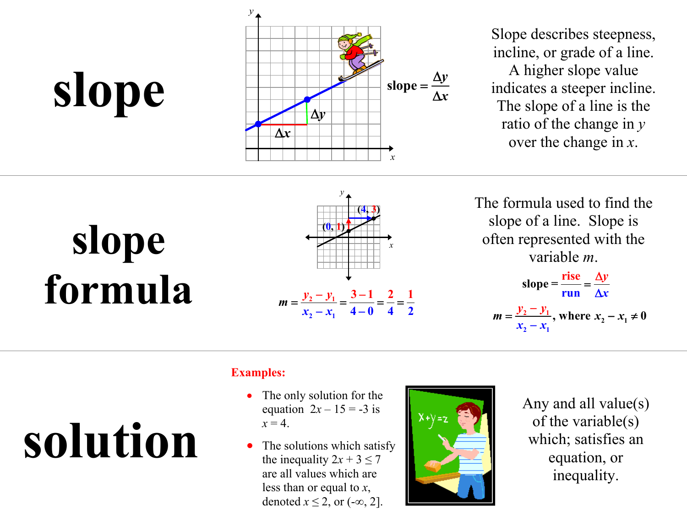

Slope describes steepness, incline, or grade of a line. A higher slope value indicates a steeper incline. The slope of a line is the ratio of the change in *y* over the change in *<sup>x</sup>*.

### **slope formula**

**slope** 



The formula used to find the slope of a line. Slope is often represented with the variable *<sup>m</sup>*.

slope = 
$$
\frac{\text{rise}}{\text{run}} = \frac{\Delta y}{\Delta x}
$$
  

$$
m = \frac{y_2 - y_1}{x_2 - x_1}, \text{ where } x_2 - x_1 \neq 0
$$

# **solution**

#### **Examples:**

- The only solution for the equation  $2x - 15 = -3$  is  $x = 4$ .
- 0 The solutions which satisfy the inequality  $2x + 3 \le 7$ are all values which are less than or equal to *<sup>x</sup>*, denoted  $x \leq 2$ , or  $(-\infty, 2]$ .



Any and all value(s) of the variable(s) which; satisfies an equation, or inequality.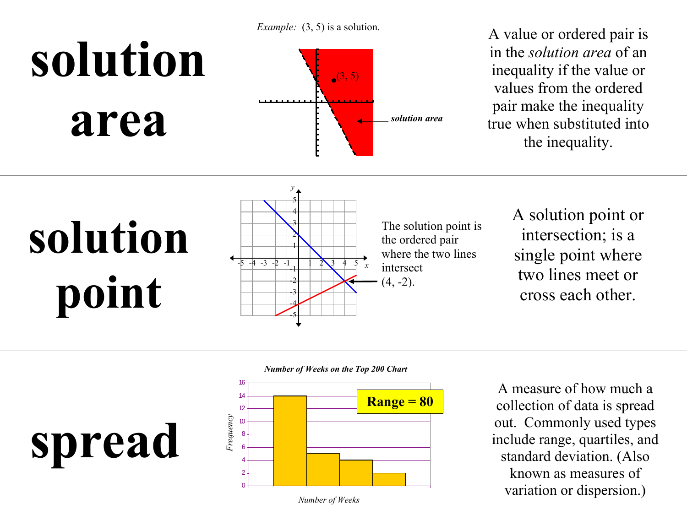*Example:* (3, 5) is a solution.



A value or ordered pair is in the *solution area* of an inequality if the value or values from the ordered pair make the inequality true when substituted into the inequality.

# **solution point**

**spread**



A solution point or intersection; is a single point where two lines meet or cross each other.





A measure of how much a collection of data is spread out. Commonly used types include range, quartiles, and standard deviation. (Also known as measures of

*Number of Weeks*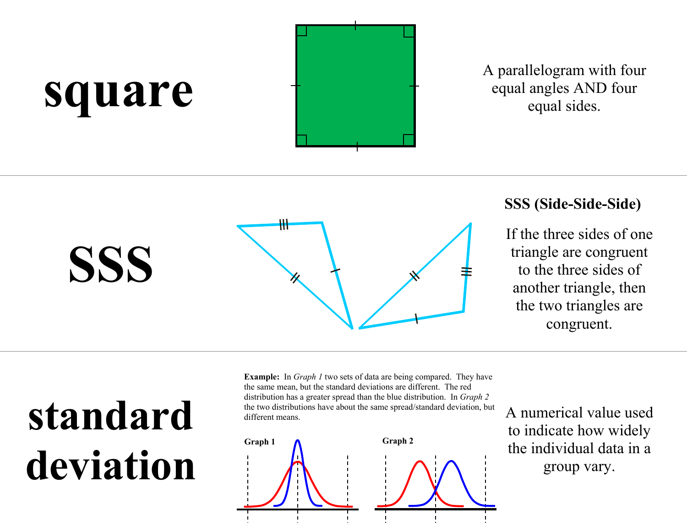

## **square**

A parallelogram with four equal angles AND four equal sides.

## **SSS**



#### **SSS (Side-Side-Side)**

If the three sides of one triangle are congruent to the three sides of another triangle, then the two triangles are congruent.

## **standard deviation**

**Example:** In *Graph 1* two sets of data are being compared. They have the same mean, but the standard deviations are different. The red distribution has a greater spread than the blue distribution. In *Graph 2* the two distributions have about the same spread/standard deviation, but different means.



A numerical value used to indicate how widely the individual data in a group vary.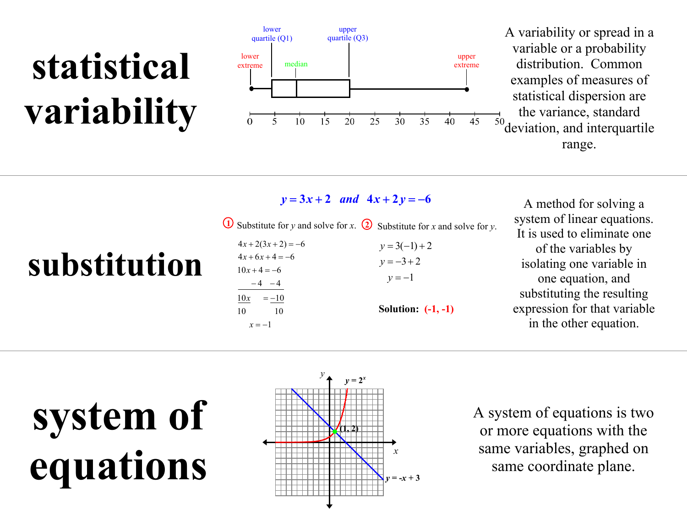### **statistical variability**



A variability or spread in a variable or a probability distribution. Common examples of measures of statistical dispersion are the variance, standard  $\vec{v}_0$  deviation, and interquartile range.

#### $y = 3x + 2$  and  $4x + 2y = -6$

**1** Substitute for *y* and solve for *x*.  $(2)$  Substitute for *x* and solve for *y*.

 $4x+2(3x+2) = -6$  $4x+6x+4=-6$  $10x + 4 = -6$ 4 4  $10x = -10$ 10 10 $x = -1$ 10*x* 

```
Solution: (-1, -1)
y = 3(-1) + 2y = -3 + 2y = -1
```
A method for solving a system of linear equations. It is used to eliminate one of the variables by isolating one variable in one equation, and substituting the resulting expression for that variable in the other equation.

## **system of equations**



A system of equations is two or more equations with the same variables, graphed on same coordinate plane.

#### **substitution**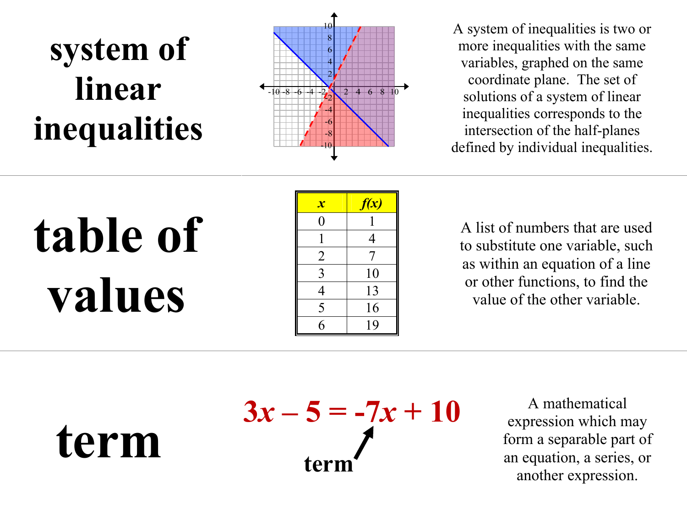#### **system of linear inequalities**



A system of inequalities is two or more inequalities with the same variables, graphed on the same coordinate plane. The set of solutions of a system of linear inequalities corresponds to the intersection of the half-planes defined by individual inequalities.

# **table of values**

| $\boldsymbol{\mathcal{X}}$ | f(x) |
|----------------------------|------|
| $\rm 0$                    |      |
| 1                          | 4    |
| $\overline{2}$             | 7    |
| 3                          | 10   |
| $\overline{4}$             | 13   |
| 5                          | 16   |
| 6                          | 19   |

A list of numbers that are used to substitute one variable, such as within an equation of a line or other functions, to find the value of the other variable.

**term** 

 $3x - 5 = -7x + 10$ 

A mathematical expression which may form a separable part of an equation, a series, or another expression.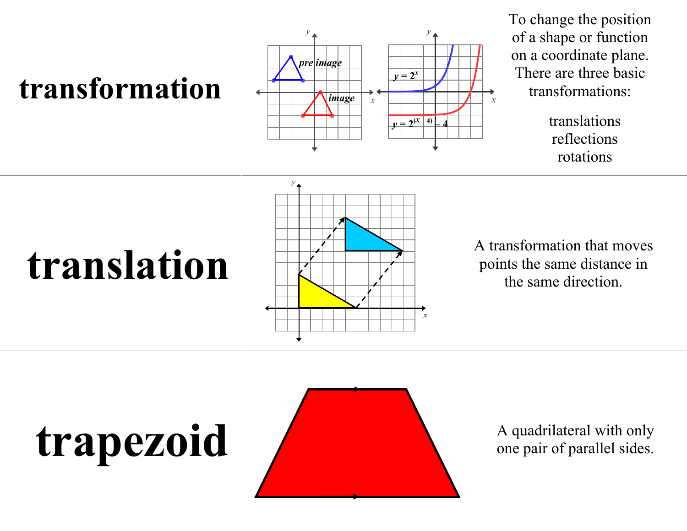

 $\frac{y}{4}$ 

To change the position of a shape or function on a coordinate plane. There are three basic transformations:

> translations reflections rotations

# **translation** A transformation that moves<br>the same distance in<br>the same direction.



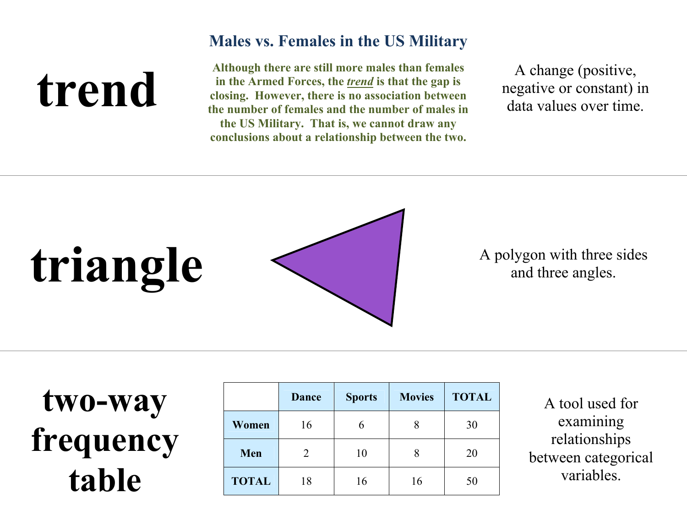#### **Males vs. Females in the US Military**

#### **Although there are still more males than females in the Armed Forces, the** *trend* **is that the gap is closing. However, there is no association between the number of females and the number of males in the US Military. That is, we cannot draw any conclusions about a relationship between the two.**

A change (positive, negative or constant) in data values over time.



**two-way frequency table** 

**trend** 

|              | <b>Dance</b> | <b>Sports</b> | <b>Movies</b> | <b>TOTAL</b> |
|--------------|--------------|---------------|---------------|--------------|
| Women        | 16           |               | 8             | 30           |
| Men          |              | 10            | 8             | 20           |
| <b>TOTAL</b> | 18           | 16            | 16            | 50           |

A tool used for examining relationships between categorical variables.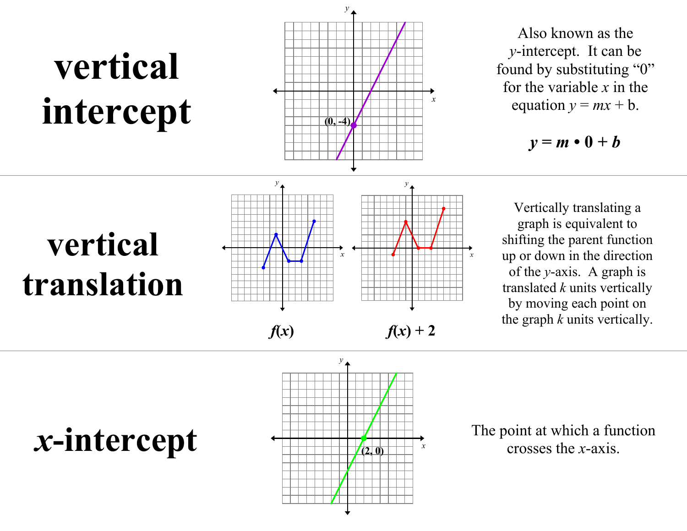### **vertical intercept**



Also known as the *y*-intercept. It can be found by substituting "0" for the variable *x* in the equation  $y = mx + b$ .

 $y = m \cdot 0 + b$ 



Vertically translating a graph is equivalent to shifting the parent function up or down in the direction of the *y*-axis. A graph is translated *k* units vertically by moving each point on the graph *k* units vertically.



 $f(x)$   $f(x) + 2$ 

 $x$ -intercept  $\qquad \qquad$  The point at which a function crosses the *x*-axis.